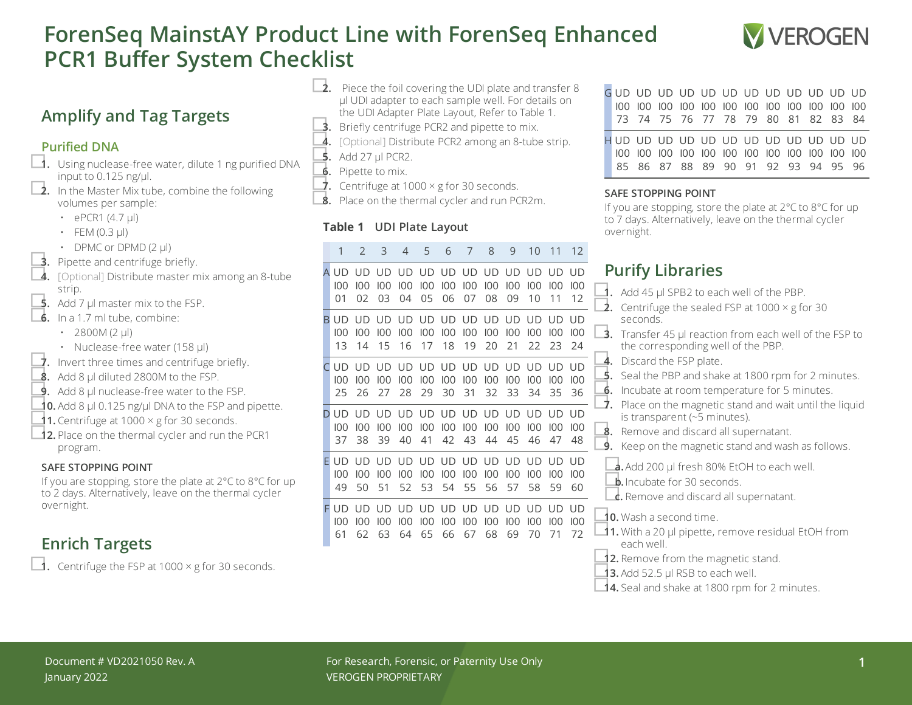# **ForenSeq MainstAY Product Line with ForenSeq Enhanced PCR1 Buffer System Checklist**



### **Amplify and Tag Targets**

#### **Purified DNA**

- □**1.** Using nuclease-free water, dilute <sup>1</sup> ng purified DNA input to 0.125 ng/ $\mu$ l.<br> **2.** In the Master Mix tube, combine the following
	- volumes per sample:
		- $\cdot$  ePCR1 (4.7 µl)
		- $\cdot$  FEM (0.3 µl)
		-
	-
- DPMC or DPMD (2 µl)<br> **3.** Pipette and centrifuge briefly.<br> **4.** [Optional] Distribute master mix among an 8-tube strip.<br>**5.** Add 7 µl master mix to the FSP.
- 
- **6.** In a 1.7 ml tube, combine:
	- 2800M (2  $\mu$ l)
	-
- Nuclease-free water (158 µl)<br> **7.** Invert three times and centrifuge briefly.<br> **8.** Add 8 µl diluted 2800M to the FSP.
- 
- **9.** Add 8 ul nuclease-free water to the FSP.
- **10.** Add 8  $\mu$ l 0.125 ng/ $\mu$ l DNA to the FSP and pipette.<br>**11.** Centrifuge at 1000 × g for 30 seconds.
- 
- **□12.** Place on the thermal cycler and run the PCR1 program.

#### **SAFE STOPPING POINT**

If you are stopping, store the plate at 2°C to 8°C for up to 2 days. Alternatively, leave on the thermal cycler overnight.

## **Enrich Targets**

 $\Box$ **1.** Centrifuge the FSP at 1000  $\times$  g for 30 seconds.

- $\Box$ **2.** Piece the foil covering the UDI plate and transfer 8 µl UDI adapter to each sample well. For details on the UDI Adapter Plate Layout, Refer to Table 1.
- **3.** Briefly centrifuge PCR2 and pipette to mix.
- **4.** [Optional] Distribute PCR2 among an 8-tube strip.<br>■ Add 27 µl PCR2.<br>■ Pipette to mix.
- 
- 
- $\overrightarrow{J}$ . Centrifuge at 1000  $\times$  g for 30 seconds.

**8.** Place on the thermal cycler and run PCR2m.

### **Table 1 UDI Plate Layout**

|    | 1                       | 2               | 3                | 4                      | 5                      | 6                      | 7                  | 8                | 9                      | 10                     | 11               | 12              |
|----|-------------------------|-----------------|------------------|------------------------|------------------------|------------------------|--------------------|------------------|------------------------|------------------------|------------------|-----------------|
| A  | UD                      | UD              | UD               | UD                     | UD                     | UD                     | <b>UD</b>          | UD               | UD                     | <b>UD</b>              | UD               | UD              |
|    | 100                     | 100             | 100              | 100                    | 100                    | 100                    | 100                | 100              | 100                    | 100                    | 100              | 100             |
|    | 01                      | 02              | 03               | 04                     | 05                     | 06                     | 07                 | 08               | 09                     | 10                     | 11               | 12              |
| B. | UD.<br>100<br>13        | UD<br>100<br>14 | UD.<br>100<br>15 | <b>UD</b><br>100<br>16 | <b>UD</b><br>100<br>17 | UD UD<br>100<br>18     | 100<br>19          | UD.<br>100<br>20 | <b>UD</b><br>100<br>21 | UD.<br>100<br>22       | UD.<br>100<br>23 | UD<br>100<br>24 |
| C  | UD                      | UD              | UD               | UD                     | UD                     | UD                     | <b>UD</b>          | <b>UD</b>        | UD.                    | UD                     | UD               | UD              |
|    | 100                     | 100             | 100              | 100                    | 100                    | 100                    | 100                | 100              | 100                    | 100                    | 100              | 100             |
|    | 25                      | 26              | 27               | 28                     | 29                     | 30                     | 31                 | 32               | 33                     | 34                     | 35               | 36              |
| D  | UD                      | UD              | UD               | UD                     | UD                     | UD                     | UD                 | UD               | UD                     | UD                     | UD               | UD              |
|    | 100                     | 100             | 100              | 100                    | 100                    | 100                    | 100                | 100              | 100                    | 100                    | 100              | 100             |
|    | 37                      | 38              | 39               | 40                     | 41                     | 42                     | 43                 | 44               | 45                     | 46                     | 47               | 48              |
| F  | <b>LID</b><br>100<br>49 | UD<br>100<br>50 | UD.<br>100<br>51 | UD.<br>100<br>52       | <b>UD</b><br>100<br>53 | <b>UD</b><br>100<br>54 | UD UD<br>100<br>55 | 100<br>56        | <b>UD</b><br>100<br>57 | <b>UD</b><br>100<br>58 | UD.<br>100<br>59 | UD<br>100<br>60 |
| F  | UD                      | UD              | UD               | UD                     | UD                     | UD                     | UD                 | UD               | UD                     | UD                     | UD               | UD              |
|    | 100                     | 100             | 100              | 100                    | 100                    | 100                    | 100                | 100              | 100                    | 100                    | 100              | 100             |
|    | 61                      | 62              | 63               | 64                     | 65                     | 66                     | 67                 | 68               | 69                     | 70                     | 71               | 72              |

|  | GUD UD UD UD UD UD UD UD UD UD UD UD UD<br>73 74 75 76 77 78 79 80 81 82 83 84 |  |  |  |  |  |
|--|--------------------------------------------------------------------------------|--|--|--|--|--|
|  | HUD UD UD UD UD UD UD UD UD UD UD UD UD<br>85 86 87 88 89 90 91 92 93 94 95 96 |  |  |  |  |  |

#### **SAFE STOPPING POINT**

If you are stopping, store the plate at 2°C to 8°C for up to 7 days. Alternatively, leave on the thermal cycler overnight.

## **Purify Libraries**

| C<br>100<br>100<br>11<br>12                                  | Add 45 µl SPB2 to each well of the PBP.<br>Centrifuge the sealed FSP at $1000 \times g$ for 30<br>2.                                                                                                                                   |
|--------------------------------------------------------------|----------------------------------------------------------------------------------------------------------------------------------------------------------------------------------------------------------------------------------------|
| J.<br>UD UD<br>100<br>C<br>100<br>$\overline{a}$<br>24<br>23 | seconds.<br>Transfer 45 µl reaction from each well of the FSP to<br>3.<br>the corresponding well of the PBP.                                                                                                                           |
| J.<br>UD UD<br>C<br>100<br>100<br>1<br>35<br>36              | Discard the FSP plate.<br>4.<br>5.<br>Seal the PBP and shake at 1800 rpm for 2 minutes.<br>Incubate at room temperature for 5 minutes.<br>6.<br>↑.                                                                                     |
| O UD UD<br>C<br>100<br>100<br>5<br>47<br>48                  | Place on the magnetic stand and wait until the liquid<br>is transparent (~5 minutes).<br>Remove and discard all supernatant.<br>8.<br>Keep on the magnetic stand and wash as follows.<br>9.                                            |
| J.<br>UD UD<br>C<br>100<br>100<br>ζ<br>59<br>60              | a. Add 200 µl fresh 80% EtOH to each well.<br><b>b.</b> Incubate for 30 seconds.<br><b>c.</b> Remove and discard all supernatant.                                                                                                      |
| C<br>UD<br>UD.<br>100<br>100<br>C<br>)<br>71<br>72           | <b>10.</b> Wash a second time.<br><b>11.</b> With a 20 µl pipette, remove residual EtOH from<br>each well<br>12. Remove from the magnetic stand.<br>13. Add 52.5 µl RSB to each well.<br>14. Seal and shake at 1800 rpm for 2 minutes. |
|                                                              |                                                                                                                                                                                                                                        |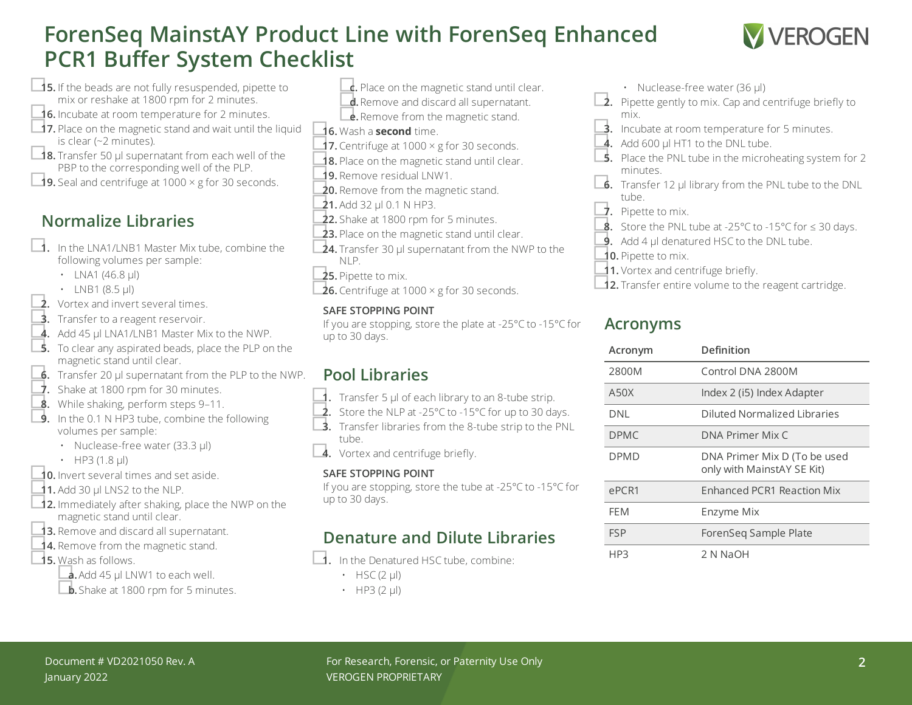# **ForenSeq MainstAY Product Line with ForenSeq Enhanced PCR1 Buffer System Checklist**



- □**15.** If the beads are not fully resuspended, pipette to mix or reshake at 1800 rpm for 2 minutes.
- □**16.** Incubate at room temperature for <sup>2</sup> minutes.
- **□17.** Place on the magnetic stand and wait until the liquid is clear (~2 minutes).<br>**18.** Transfer 50 μl supernatant from each well of the
- PBP to the corresponding well of the PLP.
- □**19.** Seal and centrifuge at <sup>1000</sup> <sup>×</sup> <sup>g</sup> for <sup>30</sup> seconds.

## **Normalize Libraries**

- □**1.** In the LNA1/LNB1 Master Mix tube, combine the following volumes per sample:
	- LNA1 (46.8  $\mu$ l)
	-
- LNB1 (8.5  $\mu$ ) <br>**2.** Vortex and invert several times.
- **3.** Transfer to a reagent reservoir.
- 4. Add 45 µl LNA1/LNB1 Master Mix to the NWP.
- □**5.** To clear any aspirated beads, place the PLP on the magnetic stand until clear.
- **6.** Transfer 20 µl supernatant from the PLP to the NWP.
- <span id="page-1-0"></span> $\overrightarrow{J}$ . Shake at 1800 rpm for 30 minutes.
- 9. While shaking, perform steps [9–](#page-1-0)[11.](#page-1-1)<br>■ 9. In the 0.1 N HP3 tube, combine the following
- volumes per sample:
	- Nuclease-free water (33.3 µl)
	-
- $\cdot$  HP3 (1.8  $\mu$ I)  $\cdot$  **10.** Invert several times and set aside.
- <span id="page-1-1"></span>**11.** Add 30 µl LNS2 to the NLP.
- **□12.** Immediately after shaking, place the NWP on the magnetic stand until clear.
- **13.** Remove and discard all supernatant.<br>■**14.** Remove from the magnetic stand.
- 
- □**15.** Wash as follows.
	- □**a.**Add <sup>45</sup> µl LNW1 to each well.
	- **b.** Shake at 1800 rpm for 5 minutes.
- **c.** Place on the magnetic stand until clear. **d.** Remove and discard all supernatant.<br> **e.** Remove from the magnetic stand.
- □**16.** Wash <sup>a</sup> **second** time.
- 17. Centrifuge at 1000 × g for 30 seconds.
- 18. Place on the magnetic stand until clear.
- 19. Remove residual LNW1.<br>**20.** Remove from the magnetic stand.
- 
- **21.** Add 32 µl 0.1 N HP3.<br>**22.** Shake at 1800 rpm for 5 minutes.
- 
- **23.** Place on the magnetic stand until clear.
- **24.** Transfer 30 µl supernatant from the NWP to the NLP.
- □**25.** Pipette to mix.
- **26.** Centrifuge at 1000  $\times$  g for 30 seconds.

### **SAFE STOPPING POINT**

If you are stopping, store the plate at -25°C to -15°C for up to 30 days.

## **Pool Libraries**

- 
- **1.** Transfer 5 µl of each library to an 8-tube strip.<br>■ 2. Store the NLP at -25°C to -15°C for up to 30 days.<br>■ 3. Transfer libraries from the 8-tube strip to the PNL tube.

□**4.** Vortex and centrifuge briefly.

### **SAFE STOPPING POINT**

If you are stopping, store the tube at -25°C to -15°C for up to 30 days.

## **Denature and Dilute Libraries**

- □**1.** In the Denatured HSC tube, combine:
	- $\cdot$  HSC (2 µl)
	- $\cdot$  HP3 (2 µl)
- 
- Nuclease-free water (36 µl)<br>**2.** Pipette gently to mix. Cap and centrifuge briefly to mix.
- **3.** Incubate at room temperature for 5 minutes.
- 4. Add 600 µl HT1 to the DNL tube.
- **5.** Place the PNL tube in the microheating system for 2 minutes.
- **□6.** Transfer 12 µl library from the PNL tube to the DNL tube.
- □**7.** Pipette to mix.
- ■<br>■ Store the PNL tube at -25°C to -15°C for ≤ 30 days.<br>■ Add 4 µl denatured HSC to the DNL tube.
- 
- □**10.** Pipette to mix.
- 
- **11.** Vortex and centrifuge briefly.<br>■**12.** Transfer entire volume to the reagent cartridge.

## **Acronyms**

| Acronym     | Definition                                                 |
|-------------|------------------------------------------------------------|
| 2800M       | Control DNA 2800M                                          |
| A50X        | Index 2 (i5) Index Adapter                                 |
| DNL         | Diluted Normalized Libraries                               |
| <b>DPMC</b> | DNA Primer Mix C                                           |
| <b>DPMD</b> | DNA Primer Mix D (To be used<br>only with MainstAY SE Kit) |
| ePCR1       | <b>Enhanced PCR1 Reaction Mix</b>                          |
| <b>FFM</b>  | Enzyme Mix                                                 |
| <b>FSP</b>  | ForenSeg Sample Plate                                      |
| HP3         | 2 N NaOH                                                   |